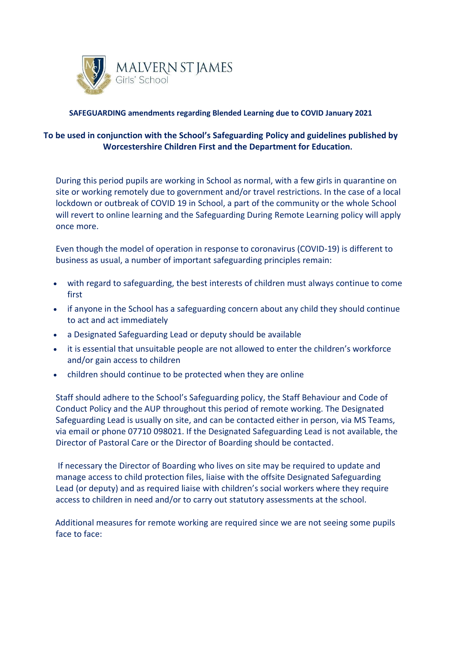

## **SAFEGUARDING amendments regarding Blended Learning due to COVID January 2021**

## **To be used in conjunction with the School's Safeguarding Policy and guidelines published by Worcestershire Children First and the [Department](https://www.gov.uk/government/publications/covid-19-safeguarding-in-schools-colleges-and-other-providers) for Education.**

During this period pupils are working in School as normal, with a few girls in quarantine on site or working remotely due to government and/or travel restrictions. In the case of a local lockdown or outbreak of COVID 19 in School, a part of the community or the whole School will revert to online learning and the Safeguarding During Remote Learning policy will apply once more.

Even though the model of operation in response to coronavirus (COVID-19) is different to business as usual, a number of important safeguarding principles remain:

- with regard to safeguarding, the best interests of children must always continue to come first
- if anyone in the School has a safeguarding concern about any child they should continue to act and act immediately
- a Designated Safeguarding Lead or deputy should be available
- it is essential that unsuitable people are not allowed to enter the children's workforce and/or gain access to children
- children should continue to be protected when they are online

Staff should adhere to the School's Safeguarding policy, the Staff Behaviour and Code of Conduct Policy and the AUP throughout this period of remote working. The Designated Safeguarding Lead is usually on site, and can be contacted either in person, via MS Teams, via email or phone 07710 098021. If the Designated Safeguarding Lead is not available, the Director of Pastoral Care or the Director of Boarding should be contacted.

If necessary the Director of Boarding who lives on site may be required to update and manage access to child protection files, liaise with the offsite Designated Safeguarding Lead (or deputy) and as required liaise with children's social workers where they require access to children in need and/or to carry out statutory assessments at the school.

 Additional measures for remote working are required since we are not seeing some pupils face to face: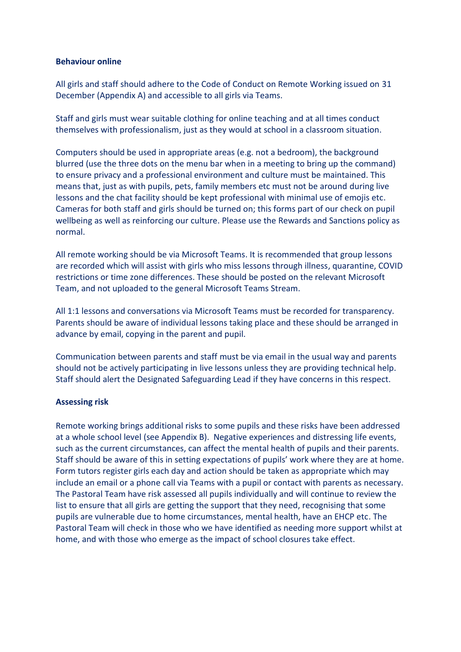#### **Behaviour online**

All girls and staff should adhere to the Code of Conduct on Remote Working issued on 31 December (Appendix A) and accessible to all girls via Teams.

Staff and girls must wear suitable clothing for online teaching and at all times conduct themselves with professionalism, just as they would at school in a classroom situation.

Computers should be used in appropriate areas (e.g. not a bedroom), the background blurred (use the three dots on the menu bar when in a meeting to bring up the command) to ensure privacy and a professional environment and culture must be maintained. This means that, just as with pupils, pets, family members etc must not be around during live lessons and the chat facility should be kept professional with minimal use of emojis etc. Cameras for both staff and girls should be turned on; this forms part of our check on pupil wellbeing as well as reinforcing our culture. Please use the Rewards and Sanctions policy as normal.

All remote working should be via Microsoft Teams. It is recommended that group lessons are recorded which will assist with girls who miss lessons through illness, quarantine, COVID restrictions or time zone differences. These should be posted on the relevant Microsoft Team, and not uploaded to the general Microsoft Teams Stream.

All 1:1 lessons and conversations via Microsoft Teams must be recorded for transparency. Parents should be aware of individual lessons taking place and these should be arranged in advance by email, copying in the parent and pupil.

Communication between parents and staff must be via email in the usual way and parents should not be actively participating in live lessons unless they are providing technical help. Staff should alert the Designated Safeguarding Lead if they have concerns in this respect.

#### **Assessing risk**

Remote working brings additional risks to some pupils and these risks have been addressed at a whole school level (see Appendix B). Negative experiences and distressing life events, such as the current circumstances, can affect the mental health of pupils and their parents. Staff should be aware of this in setting expectations of pupils' work where they are at home. Form tutors register girls each day and action should be taken as appropriate which may include an email or a phone call via Teams with a pupil or contact with parents as necessary. The Pastoral Team have risk assessed all pupils individually and will continue to review the list to ensure that all girls are getting the support that they need, recognising that some pupils are vulnerable due to home circumstances, mental health, have an EHCP etc. The Pastoral Team will check in those who we have identified as needing more support whilst at home, and with those who emerge as the impact of school closures take effect.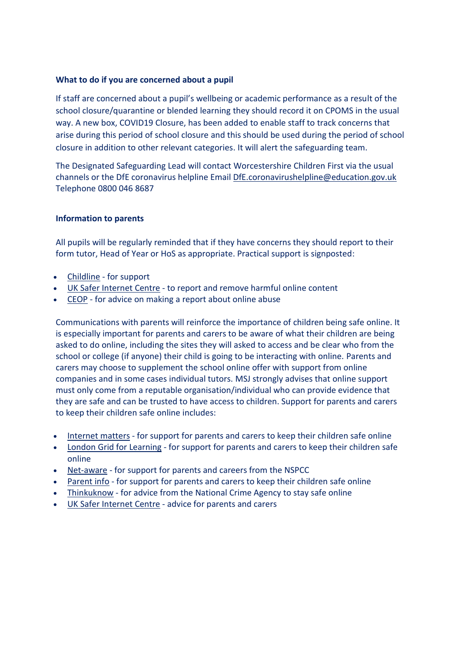#### **What to do if you are concerned about a pupil**

If staff are concerned about a pupil's wellbeing or academic performance as a result of the school closure/quarantine or blended learning they should record it on CPOMS in the usual way. A new box, COVID19 Closure, has been added to enable staff to track concerns that arise during this period of school closure and this should be used during the period of school closure in addition to other relevant categories. It will alert the safeguarding team.

The Designated Safeguarding Lead will contact Worcestershire Children First via the usual channels or the DfE coronavirus helpline Email [DfE.coronavirushelpline@education.gov.uk](mailto:DfE.coronavirushelpline@education.gov.uk) Telephone 0800 046 8687

#### **Information to parents**

All pupils will be regularly reminded that if they have concerns they should report to their form tutor, Head of Year or HoS as appropriate. Practical support is signposted:

- [Childline](https://www.childline.org.uk/?utm_source=google&utm_medium=cpc&utm_campaign=UK_GO_S_B_BND_Grant_Childline_Information&utm_term=role_of_childline&gclsrc=aw.ds&&gclid=EAIaIQobChMIlfLRh-ez6AIVRrDtCh1N9QR2EAAYASAAEgLc-vD_BwE&gclsrc=aw.ds) for support
- UK Safer [Internet](https://reportharmfulcontent.com/) Centre to report and remove harmful online content
- [CEOP](https://www.ceop.police.uk/safety-centre/) for advice on making a report about online abuse

Communications with parents will reinforce the importance of children being safe online. It is especially important for parents and carers to be aware of what their children are being asked to do online, including the sites they will asked to access and be clear who from the school or college (if anyone) their child is going to be interacting with online. Parents and carers may choose to supplement the school online offer with support from online companies and in some cases individual tutors. MSJ strongly advises that online support must only come from a reputable organisation/individual who can provide evidence that they are safe and can be trusted to have access to children. Support for parents and carers to keep their children safe online includes:

- [Internet](https://www.internetmatters.org/?gclid=EAIaIQobChMIktuA5LWK2wIVRYXVCh2afg2aEAAYASAAEgIJ5vD_BwE) matters for support for parents and carers to keep their children safe online
- London Grid for [Learning](http://www.lgfl.net/online-safety/) for support for parents and carers to keep their children safe online
- [Net-aware](https://www.net-aware.org.uk/) for support for parents and careers from the NSPCC
- [Parent](https://parentinfo.org/) info for support for parents and carers to keep their children safe online
- [Thinkuknow](http://www.thinkuknow.co.uk/) for advice from the National Crime Agency to stay safe online
- UK Safer [Internet](https://www.saferinternet.org.uk/advice-centre/parents-and-carers) Centre advice for parents and carers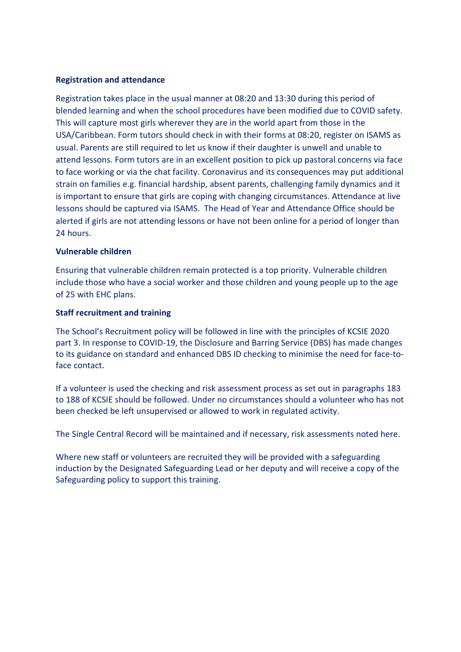## **Registration and attendance**

Registration takes place in the usual manner at 08:20 and 13:30 during this period of blended learning and when the school procedures have been modified due to COVID safety. This will capture most girls wherever they are in the world apart from those in the USA/Caribbean. Form tutors should check in with their forms at 08:20, register on ISAMS as usual. Parents are still required to let us know if their daughter is unwell and unable to attend lessons. Form tutors are in an excellent position to pick up pastoral concerns via face to face working or via the chat facility. Coronavirus and its consequences may put additional strain on families e.g. financial hardship, absent parents, challenging family dynamics and it is important to ensure that girls are coping with changing circumstances. Attendance at live lessons should be captured via ISAMS. The Head of Year and Attendance Office should be alerted if girls are not attending lessons or have not been online for a period of longer than 24 hours.

## **Vulnerable children**

Ensuring that vulnerable children remain protected is a top priority. Vulnerable children include those who have a social worker and those children and young people up to the age of 25 with EHC plans.

### **Staff recruitment and training**

The School's Recruitment policy will be followed in line with the principles of KCSIE 2020 part 3. In response to COVID-19, the Disclosure and Barring Service (DBS) has made changes to its guidance on standard and enhanced DBS ID checking to minimise the need for face-toface contact.

If a volunteer is used the checking and risk assessment process as set out in paragraphs 183 to 188 of KCSIE should be followed. Under no circumstances should a volunteer who has not been checked be left unsupervised or allowed to work in regulated activity.

The Single Central Record will be maintained and if necessary, risk assessments noted here.

Where new staff or volunteers are recruited they will be provided with a safeguarding induction by the Designated Safeguarding Lead or her deputy and will receive a copy of the Safeguarding policy to support this training.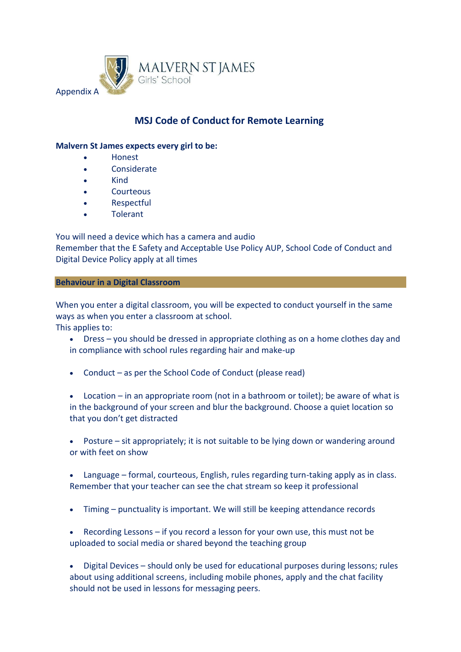

# **MSJ Code of Conduct for Remote Learning**

### **Malvern St James expects every girl to be:**

- Honest
- **Considerate**
- Kind
- **Courteous**
- Respectful
- **Tolerant**

You will need a device which has a camera and audio Remember that the E Safety and Acceptable Use Policy AUP, School Code of Conduct and Digital Device Policy apply at all times

### **Behaviour in a Digital Classroom**

When you enter a digital classroom, you will be expected to conduct yourself in the same ways as when you enter a classroom at school. This applies to:

- Dress you should be dressed in appropriate clothing as on a home clothes day and in compliance with school rules regarding hair and make-up
- Conduct as per the School Code of Conduct (please read)

• Location – in an appropriate room (not in a bathroom or toilet); be aware of what is in the background of your screen and blur the background. Choose a quiet location so that you don't get distracted

Posture – sit appropriately; it is not suitable to be lying down or wandering around or with feet on show

• Language – formal, courteous, English, rules regarding turn-taking apply as in class. Remember that your teacher can see the chat stream so keep it professional

• Timing – punctuality is important. We will still be keeping attendance records

• Recording Lessons – if you record a lesson for your own use, this must not be uploaded to social media or shared beyond the teaching group

• Digital Devices – should only be used for educational purposes during lessons; rules about using additional screens, including mobile phones, apply and the chat facility should not be used in lessons for messaging peers.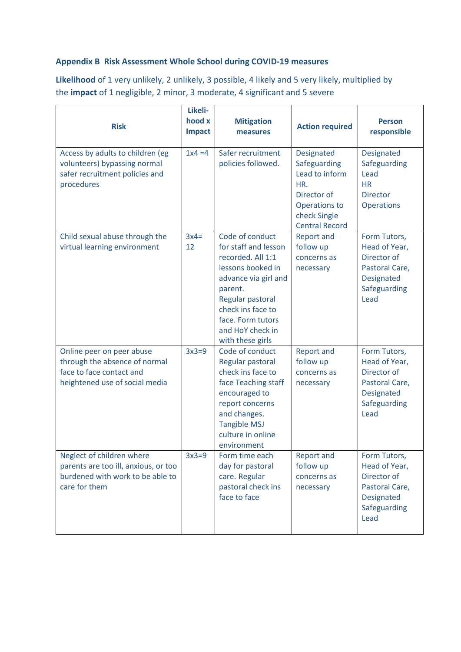# **Appendix B Risk Assessment Whole School during COVID-19 measures**

**Likelihood** of 1 very unlikely, 2 unlikely, 3 possible, 4 likely and 5 very likely, multiplied by the **impact** of 1 negligible, 2 minor, 3 moderate, 4 significant and 5 severe

| <b>Risk</b>                                                                                                              | Likeli-<br>hood x<br><b>Impact</b> | <b>Mitigation</b><br>measures                                                                                                                                                                                              | <b>Action required</b>                                                                                                       | <b>Person</b><br>responsible                                                                         |
|--------------------------------------------------------------------------------------------------------------------------|------------------------------------|----------------------------------------------------------------------------------------------------------------------------------------------------------------------------------------------------------------------------|------------------------------------------------------------------------------------------------------------------------------|------------------------------------------------------------------------------------------------------|
| Access by adults to children (eg<br>volunteers) bypassing normal<br>safer recruitment policies and<br>procedures         | $1x4 = 4$                          | Safer recruitment<br>policies followed.                                                                                                                                                                                    | Designated<br>Safeguarding<br>Lead to inform<br>HR.<br>Director of<br>Operations to<br>check Single<br><b>Central Record</b> | Designated<br>Safeguarding<br>Lead<br><b>HR</b><br><b>Director</b><br><b>Operations</b>              |
| Child sexual abuse through the<br>virtual learning environment                                                           | $3x4=$<br>12                       | Code of conduct<br>for staff and lesson<br>recorded. All 1:1<br>lessons booked in<br>advance via girl and<br>parent.<br>Regular pastoral<br>check ins face to<br>face. Form tutors<br>and HoY check in<br>with these girls | <b>Report and</b><br>follow up<br>concerns as<br>necessary                                                                   | Form Tutors,<br>Head of Year,<br>Director of<br>Pastoral Care,<br>Designated<br>Safeguarding<br>Lead |
| Online peer on peer abuse<br>through the absence of normal<br>face to face contact and<br>heightened use of social media | $3x3=9$                            | Code of conduct<br>Regular pastoral<br>check ins face to<br>face Teaching staff<br>encouraged to<br>report concerns<br>and changes.<br><b>Tangible MSJ</b><br>culture in online<br>environment                             | <b>Report and</b><br>follow up<br>concerns as<br>necessary                                                                   | Form Tutors,<br>Head of Year,<br>Director of<br>Pastoral Care,<br>Designated<br>Safeguarding<br>Lead |
| Neglect of children where<br>parents are too ill, anxious, or too<br>burdened with work to be able to<br>care for them   | $3x3=9$                            | Form time each<br>day for pastoral<br>care. Regular<br>pastoral check ins<br>face to face                                                                                                                                  | <b>Report and</b><br>follow up<br>concerns as<br>necessary                                                                   | Form Tutors,<br>Head of Year,<br>Director of<br>Pastoral Care,<br>Designated<br>Safeguarding<br>Lead |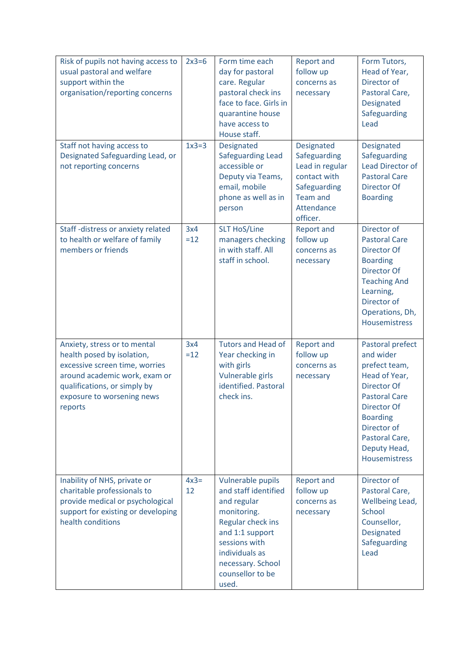| Risk of pupils not having access to<br>usual pastoral and welfare<br>support within the<br>organisation/reporting concerns                                                                             | $2x3=6$      | Form time each<br>day for pastoral<br>care. Regular<br>pastoral check ins<br>face to face. Girls in<br>quarantine house<br>have access to<br>House staff.                                            | <b>Report and</b><br>follow up<br>concerns as<br>necessary                                                                        | Form Tutors,<br>Head of Year,<br>Director of<br>Pastoral Care,<br>Designated<br>Safeguarding<br>Lead                                                                                                       |
|--------------------------------------------------------------------------------------------------------------------------------------------------------------------------------------------------------|--------------|------------------------------------------------------------------------------------------------------------------------------------------------------------------------------------------------------|-----------------------------------------------------------------------------------------------------------------------------------|------------------------------------------------------------------------------------------------------------------------------------------------------------------------------------------------------------|
| Staff not having access to<br>Designated Safeguarding Lead, or<br>not reporting concerns                                                                                                               | $1x3=3$      | Designated<br><b>Safeguarding Lead</b><br>accessible or<br>Deputy via Teams,<br>email, mobile<br>phone as well as in<br>person                                                                       | <b>Designated</b><br>Safeguarding<br>Lead in regular<br>contact with<br>Safeguarding<br><b>Team and</b><br>Attendance<br>officer. | Designated<br>Safeguarding<br><b>Lead Director of</b><br><b>Pastoral Care</b><br>Director Of<br><b>Boarding</b>                                                                                            |
| Staff-distress or anxiety related<br>to health or welfare of family<br>members or friends                                                                                                              | 3x4<br>$=12$ | <b>SLT HoS/Line</b><br>managers checking<br>in with staff. All<br>staff in school.                                                                                                                   | <b>Report and</b><br>follow up<br>concerns as<br>necessary                                                                        | Director of<br><b>Pastoral Care</b><br>Director Of<br><b>Boarding</b><br><b>Director Of</b><br><b>Teaching And</b><br>Learning,<br>Director of<br>Operations, Dh,<br><b>Housemistress</b>                  |
| Anxiety, stress or to mental<br>health posed by isolation,<br>excessive screen time, worries<br>around academic work, exam or<br>qualifications, or simply by<br>exposure to worsening news<br>reports | 3x4<br>$=12$ | <b>Tutors and Head of</b><br>Year checking in<br>with girls<br>Vulnerable girls<br>identified. Pastoral<br>check ins.                                                                                | <b>Report and</b><br>follow up<br>concerns as<br>necessary                                                                        | Pastoral prefect<br>and wider<br>prefect team,<br>Head of Year,<br>Director Of<br><b>Pastoral Care</b><br>Director Of<br><b>Boarding</b><br>Director of<br>Pastoral Care,<br>Deputy Head,<br>Housemistress |
| Inability of NHS, private or<br>charitable professionals to<br>provide medical or psychological<br>support for existing or developing<br>health conditions                                             | $4x3=$<br>12 | Vulnerable pupils<br>and staff identified<br>and regular<br>monitoring.<br>Regular check ins<br>and 1:1 support<br>sessions with<br>individuals as<br>necessary. School<br>counsellor to be<br>used. | <b>Report and</b><br>follow up<br>concerns as<br>necessary                                                                        | Director of<br>Pastoral Care,<br>Wellbeing Lead,<br><b>School</b><br>Counsellor,<br>Designated<br>Safeguarding<br>Lead                                                                                     |